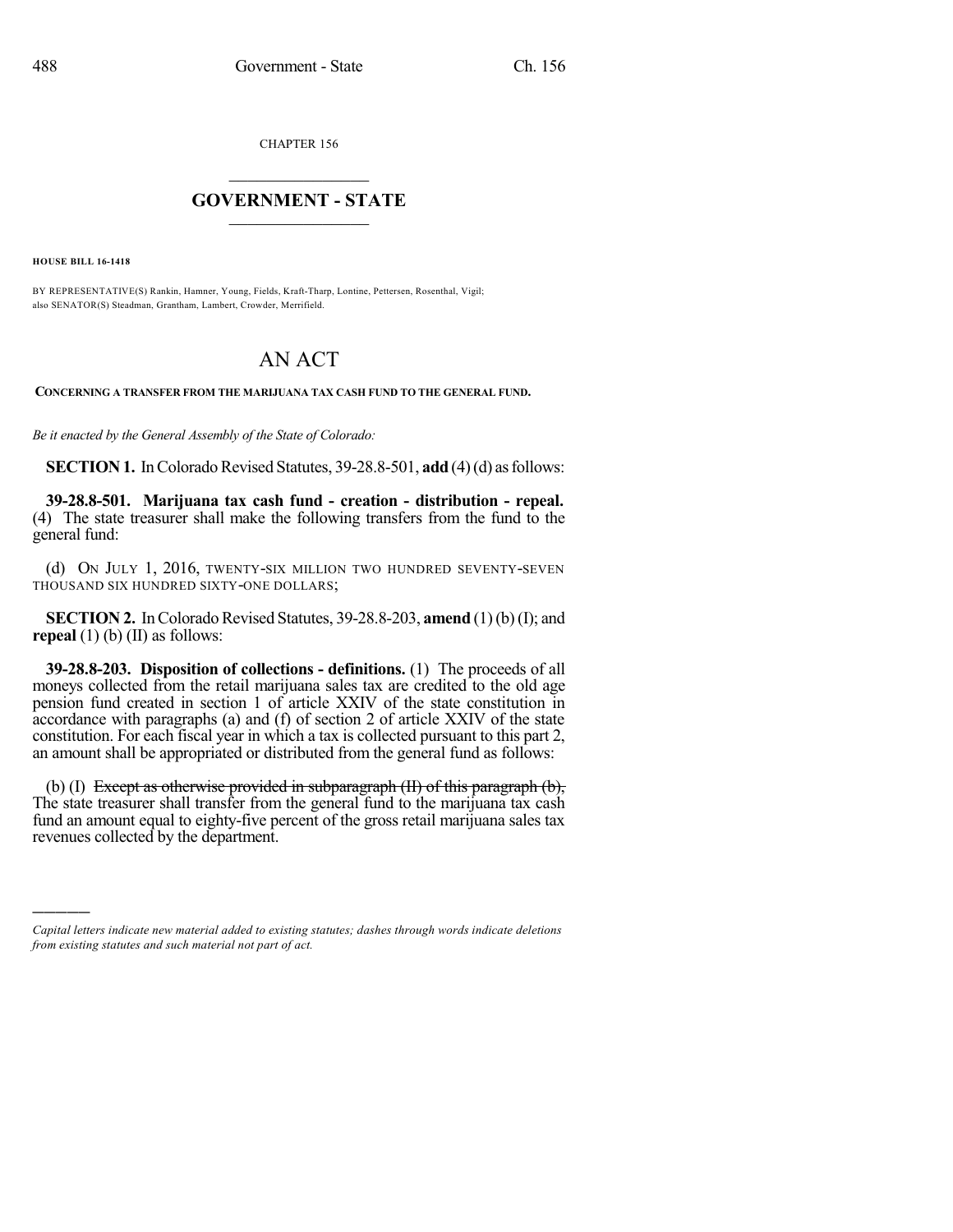CHAPTER 156

## $\mathcal{L}_\text{max}$  . The set of the set of the set of the set of the set of the set of the set of the set of the set of the set of the set of the set of the set of the set of the set of the set of the set of the set of the set **GOVERNMENT - STATE**  $\_$   $\_$   $\_$   $\_$   $\_$   $\_$   $\_$   $\_$   $\_$

**HOUSE BILL 16-1418**

)))))

BY REPRESENTATIVE(S) Rankin, Hamner, Young, Fields, Kraft-Tharp, Lontine, Pettersen, Rosenthal, Vigil; also SENATOR(S) Steadman, Grantham, Lambert, Crowder, Merrifield.

## AN ACT

**CONCERNING A TRANSFER FROM THE MARIJUANA TAX CASH FUND TO THE GENERAL FUND.**

*Be it enacted by the General Assembly of the State of Colorado:*

**SECTION 1.** In Colorado Revised Statutes, 39-28.8-501, **add** (4)(d) as follows:

**39-28.8-501. Marijuana tax cash fund - creation - distribution - repeal.** (4) The state treasurer shall make the following transfers from the fund to the general fund:

(d) ON JULY 1, 2016, TWENTY-SIX MILLION TWO HUNDRED SEVENTY-SEVEN THOUSAND SIX HUNDRED SIXTY-ONE DOLLARS;

**SECTION 2.** In Colorado Revised Statutes,  $39-28.8-203$ , **amend** (1)(b)(I); and **repeal** (1) (b) (II) as follows:

**39-28.8-203. Disposition of collections - definitions.** (1) The proceeds of all moneys collected from the retail marijuana sales tax are credited to the old age pension fund created in section 1 of article XXIV of the state constitution in accordance with paragraphs (a) and (f) of section 2 of article XXIV of the state constitution. For each fiscal year in which a tax is collected pursuant to this part 2, an amount shall be appropriated or distributed from the general fund as follows:

(b) (I) Except as otherwise provided in subparagraph (II) of this paragraph (b), The state treasurer shall transfer from the general fund to the marijuana tax cash fund an amount equal to eighty-five percent of the gross retail marijuana sales tax revenues collected by the department.

*Capital letters indicate new material added to existing statutes; dashes through words indicate deletions from existing statutes and such material not part of act.*